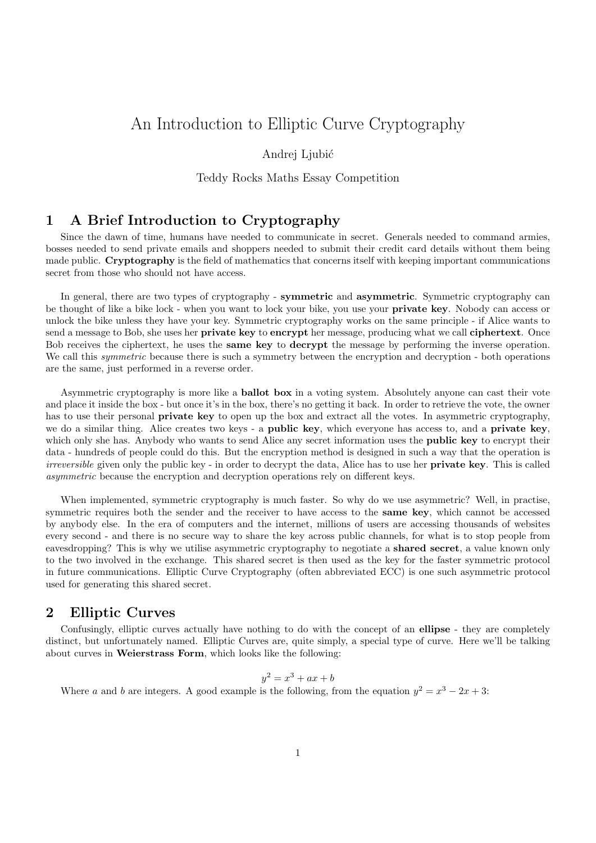# An Introduction to Elliptic Curve Cryptography

#### Andrei Ljubić

#### Teddy Rocks Maths Essay Competition

## 1 A Brief Introduction to Cryptography

Since the dawn of time, humans have needed to communicate in secret. Generals needed to command armies, bosses needed to send private emails and shoppers needed to submit their credit card details without them being made public. Cryptography is the field of mathematics that concerns itself with keeping important communications secret from those who should not have access.

In general, there are two types of cryptography - symmetric and asymmetric. Symmetric cryptography can be thought of like a bike lock - when you want to lock your bike, you use your private key. Nobody can access or unlock the bike unless they have your key. Symmetric cryptography works on the same principle - if Alice wants to send a message to Bob, she uses her **private key** to **encrypt** her message, producing what we call **ciphertext**. Once Bob receives the ciphertext, he uses the **same key** to **decrypt** the message by performing the inverse operation. We call this *symmetric* because there is such a symmetry between the encryption and decryption - both operations are the same, just performed in a reverse order.

Asymmetric cryptography is more like a ballot box in a voting system. Absolutely anyone can cast their vote and place it inside the box - but once it's in the box, there's no getting it back. In order to retrieve the vote, the owner has to use their personal **private key** to open up the box and extract all the votes. In asymmetric cryptography, we do a similar thing. Alice creates two keys - a **public key**, which everyone has access to, and a **private key**, which only she has. Anybody who wants to send Alice any secret information uses the **public key** to encrypt their data - hundreds of people could do this. But the encryption method is designed in such a way that the operation is irreversible given only the public key - in order to decrypt the data, Alice has to use her **private key**. This is called asymmetric because the encryption and decryption operations rely on different keys.

When implemented, symmetric cryptography is much faster. So why do we use asymmetric? Well, in practise, symmetric requires both the sender and the receiver to have access to the same key, which cannot be accessed by anybody else. In the era of computers and the internet, millions of users are accessing thousands of websites every second - and there is no secure way to share the key across public channels, for what is to stop people from eavesdropping? This is why we utilise asymmetric cryptography to negotiate a shared secret, a value known only to the two involved in the exchange. This shared secret is then used as the key for the faster symmetric protocol in future communications. Elliptic Curve Cryptography (often abbreviated ECC) is one such asymmetric protocol used for generating this shared secret.

### 2 Elliptic Curves

Confusingly, elliptic curves actually have nothing to do with the concept of an ellipse - they are completely distinct, but unfortunately named. Elliptic Curves are, quite simply, a special type of curve. Here we'll be talking about curves in Weierstrass Form, which looks like the following:

$$
y^2 = x^3 + ax + b
$$

Where a and b are integers. A good example is the following, from the equation  $y^2 = x^3 - 2x + 3$ :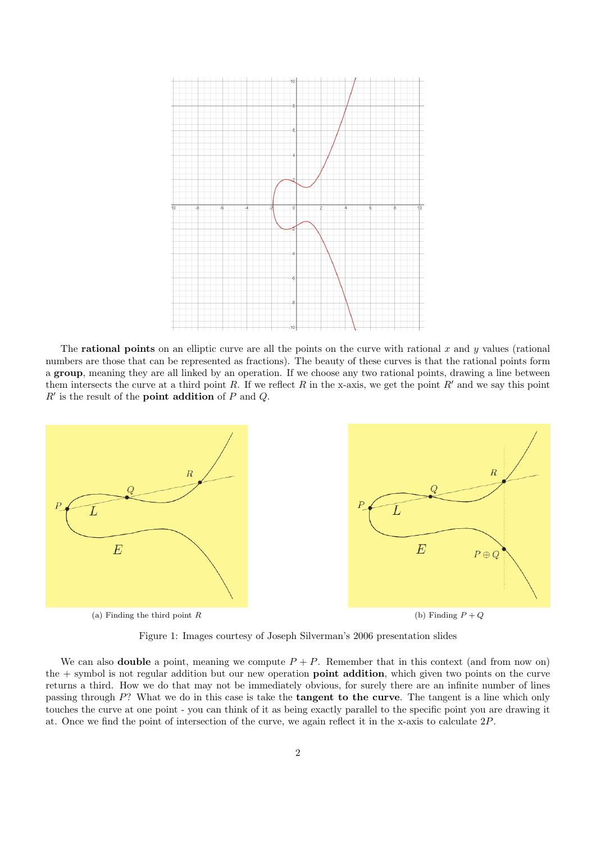

The **rational points** on an elliptic curve are all the points on the curve with rational x and y values (rational) numbers are those that can be represented as fractions). The beauty of these curves is that the rational points form a group, meaning they are all linked by an operation. If we choose any two rational points, drawing a line between them intersects the curve at a third point R. If we reflect R in the x-axis, we get the point R' and we say this point  $R'$  is the result of the **point addition** of  $P$  and  $Q$ .



Figure 1: Images courtesy of Joseph Silverman's 2006 presentation slides

We can also **double** a point, meaning we compute  $P + P$ . Remember that in this context (and from now on) the + symbol is not regular addition but our new operation **point addition**, which given two points on the curve returns a third. How we do that may not be immediately obvious, for surely there are an infinite number of lines passing through  $P$ ? What we do in this case is take the **tangent to the curve**. The tangent is a line which only touches the curve at one point - you can think of it as being exactly parallel to the specific point you are drawing it at. Once we find the point of intersection of the curve, we again reflect it in the x-axis to calculate 2P.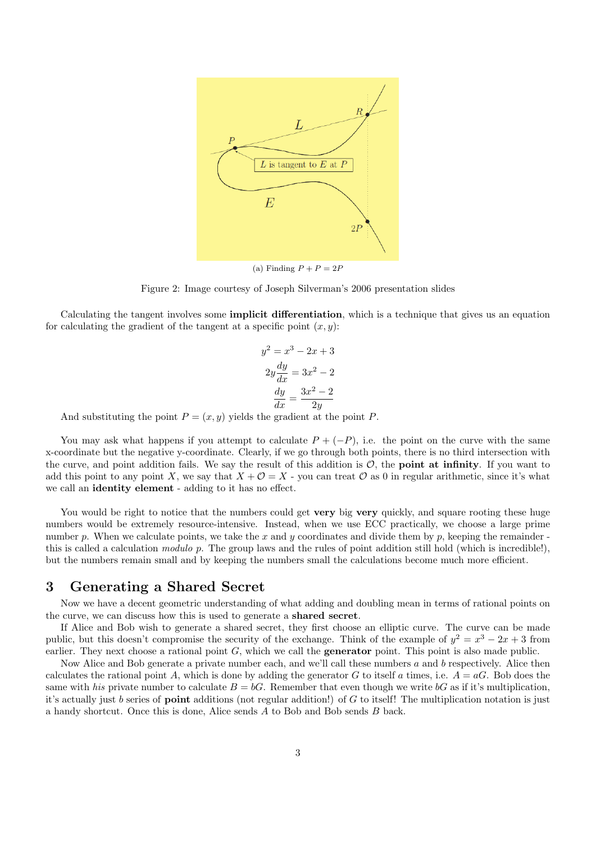

(a) Finding  $P + P = 2P$ 

Figure 2: Image courtesy of Joseph Silverman's 2006 presentation slides

Calculating the tangent involves some implicit differentiation, which is a technique that gives us an equation for calculating the gradient of the tangent at a specific point  $(x, y)$ :

$$
y2 = x3 - 2x + 3
$$

$$
2y\frac{dy}{dx} = 3x2 - 2
$$

$$
\frac{dy}{dx} = \frac{3x2 - 2}{2y}
$$

And substituting the point  $P = (x, y)$  yields the gradient at the point P.

You may ask what happens if you attempt to calculate  $P + (-P)$ , i.e. the point on the curve with the same x-coordinate but the negative y-coordinate. Clearly, if we go through both points, there is no third intersection with the curve, and point addition fails. We say the result of this addition is  $\mathcal{O}$ , the **point at infinity**. If you want to add this point to any point X, we say that  $X + \mathcal{O} = X$  - you can treat  $\mathcal{O}$  as 0 in regular arithmetic, since it's what we call an identity element - adding to it has no effect.

You would be right to notice that the numbers could get very big very quickly, and square rooting these huge numbers would be extremely resource-intensive. Instead, when we use ECC practically, we choose a large prime number p. When we calculate points, we take the x and y coordinates and divide them by p, keeping the remainder this is called a calculation modulo p. The group laws and the rules of point addition still hold (which is incredible!), but the numbers remain small and by keeping the numbers small the calculations become much more efficient.

#### 3 Generating a Shared Secret

Now we have a decent geometric understanding of what adding and doubling mean in terms of rational points on the curve, we can discuss how this is used to generate a shared secret.

If Alice and Bob wish to generate a shared secret, they first choose an elliptic curve. The curve can be made public, but this doesn't compromise the security of the exchange. Think of the example of  $y^2 = x^3 - 2x + 3$  from earlier. They next choose a rational point  $G$ , which we call the **generator** point. This point is also made public.

Now Alice and Bob generate a private number each, and we'll call these numbers  $a$  and  $b$  respectively. Alice then calculates the rational point A, which is done by adding the generator G to itself a times, i.e.  $A = aG$ . Bob does the same with his private number to calculate  $B = bG$ . Remember that even though we write  $bG$  as if it's multiplication, it's actually just b series of **point** additions (not regular addition!) of G to itself! The multiplication notation is just a handy shortcut. Once this is done, Alice sends A to Bob and Bob sends B back.